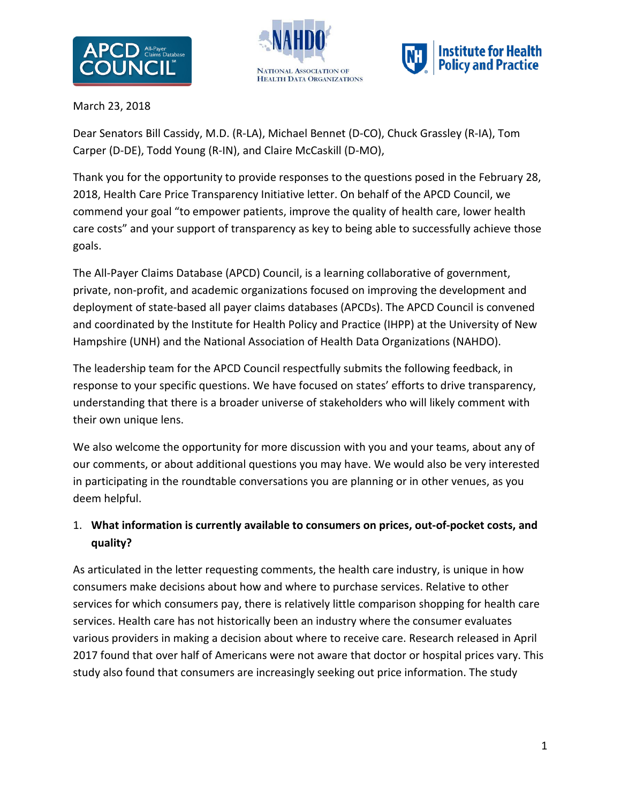





March 23, 2018

Dear Senators Bill Cassidy, M.D. (R-LA), Michael Bennet (D-CO), Chuck Grassley (R-IA), Tom Carper (D-DE), Todd Young (R-IN), and Claire McCaskill (D-MO),

Thank you for the opportunity to provide responses to the questions posed in the February 28, 2018, Health Care Price Transparency Initiative letter. On behalf of the APCD Council, we commend your goal "to empower patients, improve the quality of health care, lower health care costs" and your support of transparency as key to being able to successfully achieve those goals.

The All-Payer Claims Database (APCD) Council, is a learning collaborative of government, private, non-profit, and academic organizations focused on improving the development and deployment of state-based all payer claims databases (APCDs). The APCD Council is convened and coordinated by the Institute for Health Policy and Practice (IHPP) at the University of New Hampshire (UNH) and the National Association of Health Data Organizations (NAHDO).

The leadership team for the APCD Council respectfully submits the following feedback, in response to your specific questions. We have focused on states' efforts to drive transparency, understanding that there is a broader universe of stakeholders who will likely comment with their own unique lens.

We also welcome the opportunity for more discussion with you and your teams, about any of our comments, or about additional questions you may have. We would also be very interested in participating in the roundtable conversations you are planning or in other venues, as you deem helpful.

# 1. **What information is currently available to consumers on prices, out-of-pocket costs, and quality?**

As articulated in the letter requesting comments, the health care industry, is unique in how consumers make decisions about how and where to purchase services. Relative to other services for which consumers pay, there is relatively little comparison shopping for health care services. Health care has not historically been an industry where the consumer evaluates various providers in making a decision about where to receive care. Research released in April 2017 found that over half of Americans were not aware that doctor or hospital prices vary. This study also found that consumers are increasingly seeking out price information. The study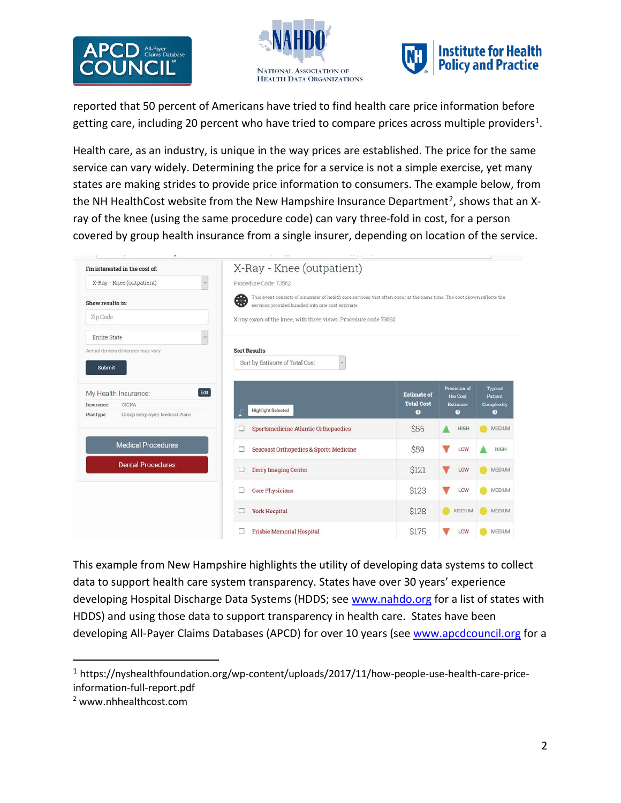





reported that 50 percent of Americans have tried to find health care price information before getting care, including 20 percent who have tried to compare prices across multiple providers<sup>[1](#page-1-0)</sup>.

Health care, as an industry, is unique in the way prices are established. The price for the same service can vary widely. Determining the price for a service is not a simple exercise, yet many states are making strides to provide price information to consumers. The example below, from the NH HealthCost website from the New Hampshire Insurance Department<sup>[2](#page-1-1)</sup>, shows that an Xray of the knee (using the same procedure code) can vary three-fold in cost, for a person covered by group health insurance from a single insurer, depending on location of the service.

| I'm interested in the cost of:                                                                                                                                                                       | X-Ray - Knee (outpatient)                                      |                    |                             |                              |
|------------------------------------------------------------------------------------------------------------------------------------------------------------------------------------------------------|----------------------------------------------------------------|--------------------|-----------------------------|------------------------------|
| X-Ray - Knee (outpatient)<br>$\sim$                                                                                                                                                                  | Procedure Code 73562                                           |                    |                             |                              |
| ❸<br>This event consists of a number of health care services that often occur at the same time. The cost shown reflects the<br>Show results in:<br>services provided bundled into one cost estimate. |                                                                |                    |                             |                              |
| Zip Code                                                                                                                                                                                             | X-ray exam of the knee, with three views. Procedure code 73562 |                    |                             |                              |
| Entire State                                                                                                                                                                                         |                                                                |                    |                             |                              |
| Actual driving distances may vary.                                                                                                                                                                   | <b>Sort Results</b>                                            |                    |                             |                              |
| <b>Submit</b>                                                                                                                                                                                        | Sort by Estimate of Total Cost<br>$\sim$                       |                    |                             |                              |
|                                                                                                                                                                                                      |                                                                |                    |                             |                              |
| Edit<br>My Health Insurance:                                                                                                                                                                         |                                                                | <b>Estimate of</b> | Precision of                | <b>Typical</b>               |
| CIGNA<br>Insurance:                                                                                                                                                                                  |                                                                | <b>Total Cost</b>  | the Cost<br><b>Estimate</b> | Patient<br><b>Complexity</b> |
| Group (employer) Medical Plans<br>Plantype:                                                                                                                                                          | <b>Highlight Selected</b>                                      | $\bullet$          | $\bullet$                   | o                            |
|                                                                                                                                                                                                      | Sportsmedicine Atlantic Orthopaedics                           | <b>S56</b>         | <b>HIGH</b>                 | <b>MEDIUM</b>                |
| <b>Medical Procedures</b>                                                                                                                                                                            | Seacoast Orthopedics & Sports Medicine<br>□                    | \$59               | LOW                         | <b>HIGH</b>                  |
| <b>Dental Procedures</b>                                                                                                                                                                             | <b>Derry Imaging Center</b>                                    | \$121              | LOW                         | <b>MEDIUM</b>                |
|                                                                                                                                                                                                      | <b>Core Physicians</b>                                         | <b>S123</b>        | LOW                         | MEDIUM                       |
|                                                                                                                                                                                                      | <b>York Hospital</b>                                           | <b>S128</b>        | <b>MEDIUM</b>               | MEDIUM                       |
|                                                                                                                                                                                                      |                                                                |                    |                             |                              |

This example from New Hampshire highlights the utility of developing data systems to collect data to support health care system transparency. States have over 30 years' experience developing Hospital Discharge Data Systems (HDDS; se[e www.nahdo.org](http://www.nahdo.org/) for a list of states with HDDS) and using those data to support transparency in health care. States have been developing All-Payer Claims Databases (APCD) for over 10 years (see [www.apcdcouncil.org](http://www.apcdcouncil.org/) for a

<span id="page-1-0"></span> <sup>1</sup> https://nyshealthfoundation.org/wp-content/uploads/2017/11/how-people-use-health-care-priceinformation-full-report.pdf

<span id="page-1-1"></span><sup>2</sup> www.nhhealthcost.com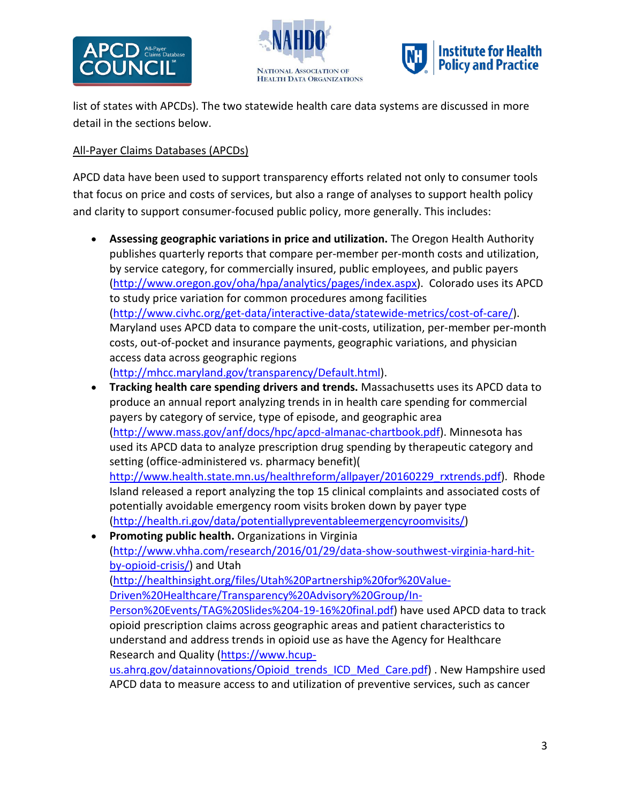





list of states with APCDs). The two statewide health care data systems are discussed in more detail in the sections below.

### All-Payer Claims Databases (APCDs)

APCD data have been used to support transparency efforts related not only to consumer tools that focus on price and costs of services, but also a range of analyses to support health policy and clarity to support consumer-focused public policy, more generally. This includes:

- **Assessing geographic variations in price and utilization.** The Oregon Health Authority publishes quarterly reports that compare per-member per-month costs and utilization, by service category, for commercially insured, public employees, and public payers [\(http://www.oregon.gov/oha/hpa/analytics/pages/index.aspx\)](http://www.oregon.gov/oha/hpa/analytics/pages/index.aspx). Colorado uses its APCD to study price variation for common procedures among facilities [\(http://www.civhc.org/get-data/interactive-data/statewide-metrics/cost-of-care/\)](http://www.civhc.org/get-data/interactive-data/statewide-metrics/cost-of-care/). Maryland uses APCD data to compare the unit-costs, utilization, per-member per-month costs, out-of-pocket and insurance payments, geographic variations, and physician access data across geographic regions [\(http://mhcc.maryland.gov/transparency/Default.html\)](http://mhcc.maryland.gov/transparency/Default.html).
- **Tracking health care spending drivers and trends.** Massachusetts uses its APCD data to produce an annual report analyzing trends in in health care spending for commercial payers by category of service, type of episode, and geographic area [\(http://www.mass.gov/anf/docs/hpc/apcd-almanac-chartbook.pdf\)](http://www.mass.gov/anf/docs/hpc/apcd-almanac-chartbook.pdf). Minnesota has used its APCD data to analyze prescription drug spending by therapeutic category and setting (office-administered vs. pharmacy benefit)( [http://www.health.state.mn.us/healthreform/allpayer/20160229\\_rxtrends.pdf\)](http://www.health.state.mn.us/healthreform/allpayer/20160229_rxtrends.pdf). Rhode Island released a report analyzing the top 15 clinical complaints and associated costs of potentially avoidable emergency room visits broken down by payer type [\(http://health.ri.gov/data/potentiallypreventableemergencyroomvisits/\)](http://health.ri.gov/data/potentiallypreventableemergencyroomvisits/)
- **Promoting public health.** Organizations in Virginia [\(http://www.vhha.com/research/2016/01/29/data-show-southwest-virginia-hard-hit](http://www.vhha.com/research/2016/01/29/data-show-southwest-virginia-hard-hit-by-opioid-crisis/)[by-opioid-crisis/\)](http://www.vhha.com/research/2016/01/29/data-show-southwest-virginia-hard-hit-by-opioid-crisis/) and Utah [\(http://healthinsight.org/files/Utah%20Partnership%20for%20Value-](http://healthinsight.org/files/Utah%20Partnership%20for%20Value-Driven%20Healthcare/Transparency%20Advisory%20Group/In-Person%20Events/TAG%20Slides%204-19-16%20final.pdf)[Driven%20Healthcare/Transparency%20Advisory%20Group/In-](http://healthinsight.org/files/Utah%20Partnership%20for%20Value-Driven%20Healthcare/Transparency%20Advisory%20Group/In-Person%20Events/TAG%20Slides%204-19-16%20final.pdf)[Person%20Events/TAG%20Slides%204-19-16%20final.pdf\)](http://healthinsight.org/files/Utah%20Partnership%20for%20Value-Driven%20Healthcare/Transparency%20Advisory%20Group/In-Person%20Events/TAG%20Slides%204-19-16%20final.pdf) have used APCD data to track opioid prescription claims across geographic areas and patient characteristics to understand and address trends in opioid use as have the Agency for Healthcare Research and Quality [\(https://www.hcup](https://www.hcup-us.ahrq.gov/datainnovations/Opioid_trends_ICD_Med_Care.pdf)[us.ahrq.gov/datainnovations/Opioid\\_trends\\_ICD\\_Med\\_Care.pdf\)](https://www.hcup-us.ahrq.gov/datainnovations/Opioid_trends_ICD_Med_Care.pdf) . New Hampshire used APCD data to measure access to and utilization of preventive services, such as cancer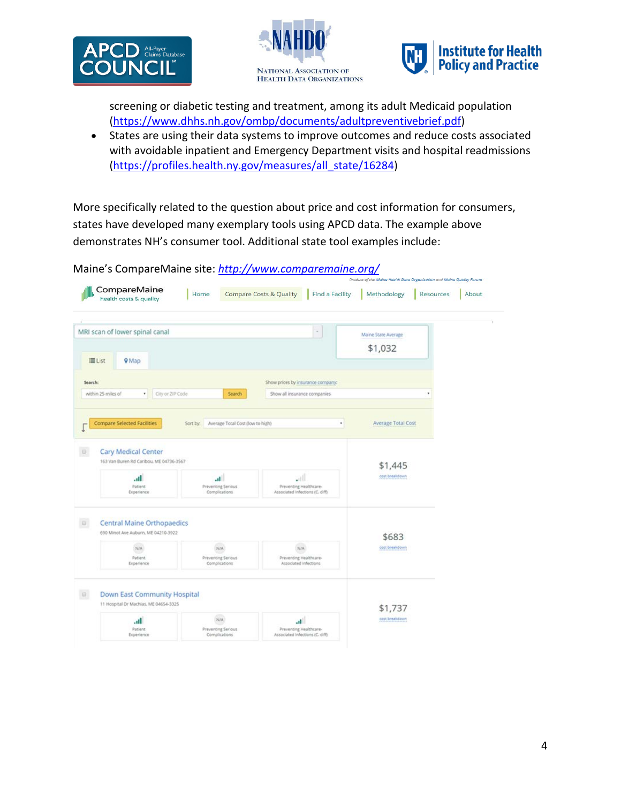





screening or diabetic testing and treatment, among its adult Medicaid population [\(https://www.dhhs.nh.gov/ombp/documents/adultpreventivebrief.pdf\)](https://www.dhhs.nh.gov/ombp/documents/adultpreventivebrief.pdf)

• States are using their data systems to improve outcomes and reduce costs associated with avoidable inpatient and Emergency Department visits and hospital readmissions [\(https://profiles.health.ny.gov/measures/all\\_state/16284\)](https://profiles.health.ny.gov/measures/all_state/16284)

More specifically related to the question about price and cost information for consumers, states have developed many exemplary tools using APCD data. The example above demonstrates NH's consumer tool. Additional state tool examples include:

Maine's CompareMaine site: *<http://www.comparemaine.org/>*

| III List           | MRI scan of lower spinal canal<br><b>9</b> Map                           |                                                     | $^\circ$                                                             | Maine State Average<br>\$1,032 |  |
|--------------------|--------------------------------------------------------------------------|-----------------------------------------------------|----------------------------------------------------------------------|--------------------------------|--|
| Search:            |                                                                          |                                                     | Show prices by insurance company:                                    |                                |  |
| within 25 miles of | City or ZIP Code<br>٠.                                                   | Search.                                             | Show all insurance companies                                         |                                |  |
|                    | <b>Compare Selected Facilities</b>                                       | Sort by: Average Total Cost (low to high)           | ٠                                                                    | Average Total Cost             |  |
|                    | <b>Cary Medical Center</b><br>163 Van Buren Rd Caribou. ME 04736-3567    |                                                     |                                                                      |                                |  |
|                    |                                                                          |                                                     |                                                                      | \$1,445                        |  |
|                    | Ih.<br>Patient<br>Experience                                             | $\mathbf{u}$<br>Preventing Serious<br>Complications | $\cdot$<br>Preventing Healthcare-<br>Associated Infections (C. diff) | cost breakdown                 |  |
|                    | <b>Central Maine Orthopaedics</b><br>690 Minot Ave Auburn, ME 04210-3922 |                                                     |                                                                      |                                |  |
|                    | NIA<br>Patient<br>Experience                                             | N/A<br>Preventing Serious<br>Complications          | N/A<br>Preventing Healthcare-<br>Associated infections               | \$683<br>cost breakdown        |  |
| B.                 | Down East Community Hospital<br>11 Hospital Dr Machias, ME 04654-3325    |                                                     |                                                                      | \$1,737                        |  |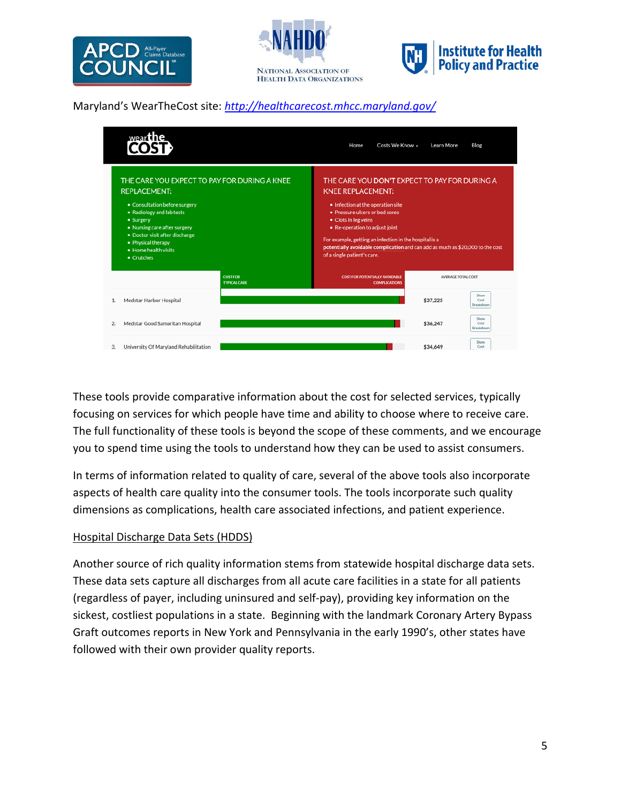





## Maryland's WearTheCost site: *<http://healthcarecost.mhcc.maryland.gov/>*

|                                                                                                                                                                                                                                                                              | Home | Costs We Know +                                                                                                                                                                                                                                                                                                                                                                       | <b>Learn More</b>         | Blog                             |
|------------------------------------------------------------------------------------------------------------------------------------------------------------------------------------------------------------------------------------------------------------------------------|------|---------------------------------------------------------------------------------------------------------------------------------------------------------------------------------------------------------------------------------------------------------------------------------------------------------------------------------------------------------------------------------------|---------------------------|----------------------------------|
| THE CARE YOU EXPECT TO PAY FOR DURING A KNEE<br><b>REPLACEMENT:</b><br>• Consultation before surgery<br>• Radiology and lab tests<br>• Surgery<br>• Nursing care after surgery<br>• Doctor visit after discharge<br>• Physical therapy<br>· Home health visits<br>• Crutches |      | THE CARE YOU DON'T EXPECT TO PAY FOR DURING A<br><b>KNEE REPLACEMENT:</b><br>• Infection at the operation site<br>• Pressure ulcers or bed sores<br>• Clots in leg veins<br>• Re-operation to adjust joint<br>For example, getting an infection in the hospital is a<br>potentially avoidable complication and can add as much as \$20,000 to the cost<br>of a single patient's care. |                           |                                  |
| <b>COST FOR</b><br><b>TYPICAL CARE</b>                                                                                                                                                                                                                                       |      | <b>COST FOR POTENTIALLY AVOIDABLE</b><br><b>COMPLICATIONS</b>                                                                                                                                                                                                                                                                                                                         | <b>AVERAGE TOTAL COST</b> |                                  |
| Medstar Harbor Hospital                                                                                                                                                                                                                                                      |      |                                                                                                                                                                                                                                                                                                                                                                                       | \$37,225                  | Show<br>Cost<br>Breakdown        |
| Medstar Good Samaritan Hospital<br>2.                                                                                                                                                                                                                                        |      |                                                                                                                                                                                                                                                                                                                                                                                       | \$36,247                  | Show<br>Cost<br><b>Rreakdown</b> |
| University Of Maryland Rehabilitation<br>З.                                                                                                                                                                                                                                  |      |                                                                                                                                                                                                                                                                                                                                                                                       | \$34,649                  | Show<br>Cost                     |

These tools provide comparative information about the cost for selected services, typically focusing on services for which people have time and ability to choose where to receive care. The full functionality of these tools is beyond the scope of these comments, and we encourage you to spend time using the tools to understand how they can be used to assist consumers.

In terms of information related to quality of care, several of the above tools also incorporate aspects of health care quality into the consumer tools. The tools incorporate such quality dimensions as complications, health care associated infections, and patient experience.

### Hospital Discharge Data Sets (HDDS)

Another source of rich quality information stems from statewide hospital discharge data sets. These data sets capture all discharges from all acute care facilities in a state for all patients (regardless of payer, including uninsured and self-pay), providing key information on the sickest, costliest populations in a state. Beginning with the landmark Coronary Artery Bypass Graft outcomes reports in New York and Pennsylvania in the early 1990's, other states have followed with their own provider quality reports.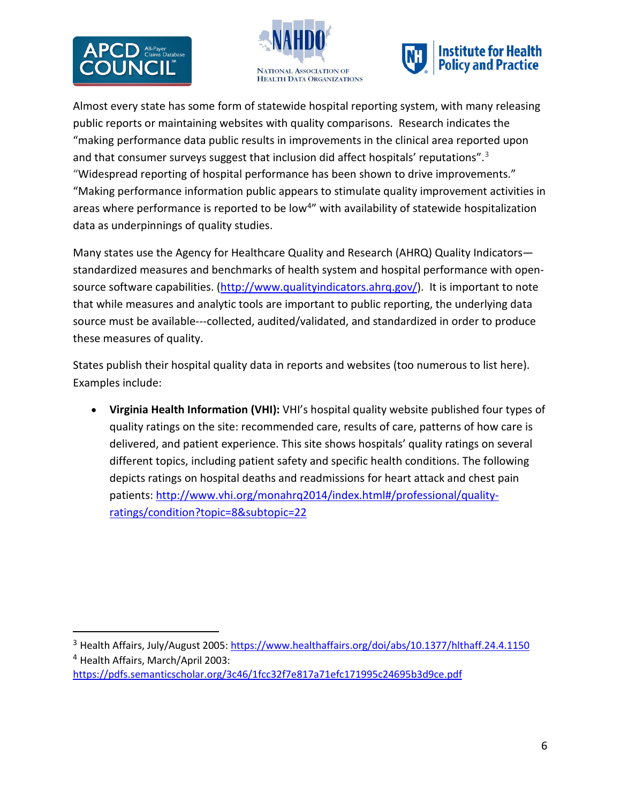





Almost every state has some form of statewide hospital reporting system, with many releasing public reports or maintaining websites with quality comparisons. Research indicates the "making performance data public results in improvements in the clinical area reported upon and that consumer surveys suggest that inclusion did affect hospitals' reputations".<sup>[3](#page-5-0)</sup> "Widespread reporting of hospital performance has been shown to drive improvements." "Making performance information public appears to stimulate quality improvement activities in areas where performance is reported to be low<sup>[4](#page-5-1)"</sup> with availability of statewide hospitalization data as underpinnings of quality studies.

Many states use the Agency for Healthcare Quality and Research (AHRQ) Quality Indicators standardized measures and benchmarks of health system and hospital performance with opensource software capabilities. [\(http://www.qualityindicators.ahrq.gov/\)](http://www.qualityindicators.ahrq.gov/). It is important to note that while measures and analytic tools are important to public reporting, the underlying data source must be available---collected, audited/validated, and standardized in order to produce these measures of quality.

States publish their hospital quality data in reports and websites (too numerous to list here). Examples include:

• **Virginia Health Information (VHI):** VHI's hospital quality website published four types of quality ratings on the site: recommended care, results of care, patterns of how care is delivered, and patient experience. This site shows hospitals' quality ratings on several different topics, including patient safety and specific health conditions. The following depicts ratings on hospital deaths and readmissions for heart attack and chest pain patients[: http://www.vhi.org/monahrq2014/index.html#/professional/quality](http://www.vhi.org/monahrq2014/index.html#/professional/quality-ratings/condition?topic=8&subtopic=22)[ratings/condition?topic=8&subtopic=22](http://www.vhi.org/monahrq2014/index.html#/professional/quality-ratings/condition?topic=8&subtopic=22)

<span id="page-5-1"></span><span id="page-5-0"></span> <sup>3</sup> Health Affairs, July/August 2005[: https://www.healthaffairs.org/doi/abs/10.1377/hlthaff.24.4.1150](https://www.healthaffairs.org/doi/abs/10.1377/hlthaff.24.4.1150) <sup>4</sup> Health Affairs, March/April 2003:

<https://pdfs.semanticscholar.org/3c46/1fcc32f7e817a71efc171995c24695b3d9ce.pdf>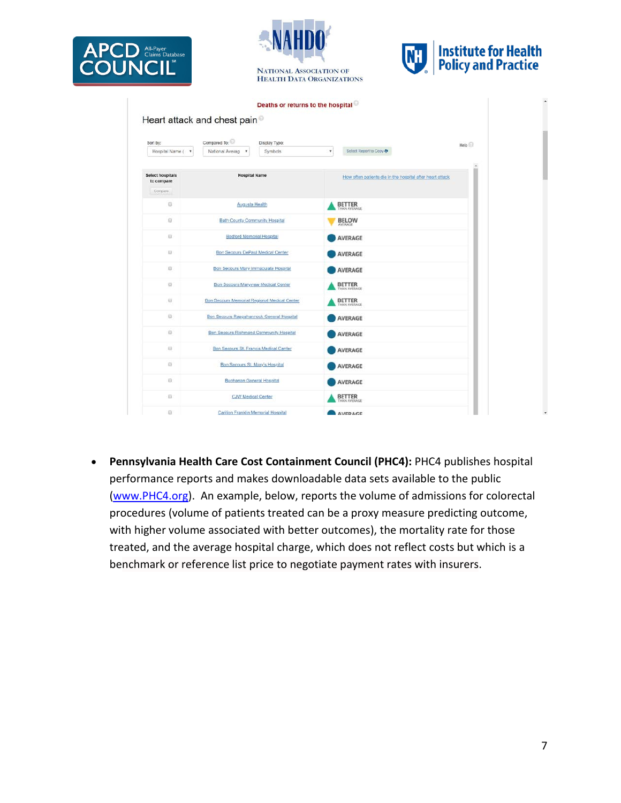





|                                       |                                               | Deaths or returns to the hospital |         |                                                           |                   |
|---------------------------------------|-----------------------------------------------|-----------------------------------|---------|-----------------------------------------------------------|-------------------|
|                                       | Heart attack and chest pain <sup>®</sup>      |                                   |         |                                                           |                   |
|                                       | Compared To:                                  |                                   |         |                                                           |                   |
| Sort by:<br>Hospital Name ( *         | National Averag<br>×                          | Display Type:<br>Symbols          | $\star$ | Select Report to Copy                                     | Help <sup>1</sup> |
|                                       |                                               |                                   |         |                                                           |                   |
| <b>Select hospitals</b><br>to compare | <b>Hospital Name</b>                          |                                   |         | How often patients die in the nospital after heart attack |                   |
| Compare.                              |                                               |                                   |         |                                                           |                   |
| G                                     | <b>Augusta Health</b>                         |                                   |         | <b>BETTER</b>                                             |                   |
| 日                                     | Bath County Community Hospital                |                                   |         | <b>BELOW</b><br>AVERAGE                                   |                   |
| <b>B</b>                              | Bedford Memorial Hospital                     |                                   |         | <b>AVERAGE</b>                                            |                   |
| Ð                                     | Bon Secours DePaul Medical Center             |                                   |         | AVERAGE                                                   |                   |
| $\Box$                                | Bon Secours Mary Immaculate Hospital          |                                   |         | <b>AVERAGE</b>                                            |                   |
| Ð                                     | <b>Bon Secours Maryview Medical Center</b>    |                                   |         | <b>BETTER</b><br>THAN AVERAGE                             |                   |
| $\Box$                                | Bon Secours Memorial Regional Medical Center  |                                   |         | <b>BETTER</b><br>THAN AVERAGE                             |                   |
| $\Box$                                | Bon Secours Rappahannock General Hospital     |                                   |         | AVERAGE                                                   |                   |
| 日                                     | Bon Secours Richmond Community Hospital       |                                   |         | <b>AVERAGE</b>                                            |                   |
| 拉                                     | <b>Bon Secours St. Francis Medical Center</b> |                                   |         | <b>AVERAGE</b>                                            |                   |
| 百                                     | Bon Secours St. Mary's Hospital               |                                   |         | <b>AVERAGE</b>                                            |                   |
| B                                     | <b>Buchanan General Hospital</b>              |                                   |         | <b>AVERAGE</b>                                            |                   |
| $\Box$                                | <b>CJW Medical Center</b>                     |                                   |         | <b>BETTER</b><br><b><i>DIAN AVEILAGE</i></b>              |                   |
| Ð                                     | Carition Franklin Memorial Hospital           |                                   |         | <b>AVERAGE</b>                                            |                   |

• **Pennsylvania Health Care Cost Containment Council (PHC4):** PHC4 publishes hospital performance reports and makes downloadable data sets available to the public [\(www.PHC4.org\)](http://www.phc4.org/). An example, below, reports the volume of admissions for colorectal procedures (volume of patients treated can be a proxy measure predicting outcome, with higher volume associated with better outcomes), the mortality rate for those treated, and the average hospital charge, which does not reflect costs but which is a benchmark or reference list price to negotiate payment rates with insurers.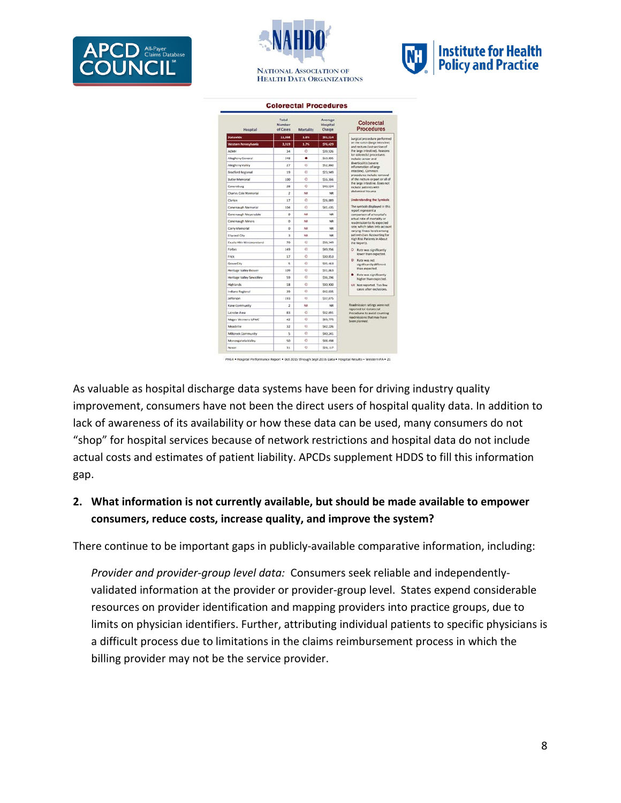





| Hospital                    | Total<br>Number<br>of Cases | Mortality | Average<br>Hospital<br>Charge | Colorectal<br><b>Procedures</b>                                |  |  |
|-----------------------------|-----------------------------|-----------|-------------------------------|----------------------------------------------------------------|--|--|
| <b>Statewide</b>            | 11,858                      | 1.6%      | \$91.514                      | Surgical procedure performed                                   |  |  |
| <b>Western Pennsylvania</b> | 3,919                       | 1.7%      | \$76,429                      | on the colon (large intestine)<br>and rectum (last section of  |  |  |
| <b>ACMH</b>                 | 34                          | ò.        | \$39.926                      | the large intestine). Reasons<br>for colorectal procedures.    |  |  |
| Alleghery General           | 248                         | ٠         | \$60,895                      | include cancer and                                             |  |  |
| Allegheny Valley            | 27                          | Ø)        | \$52,860                      | diverticulitis (severe<br>inflammation of large                |  |  |
| <b>Bradford Regional</b>    | 19                          | A         | 523, 949                      | intestine). Common<br>procedures include removal               |  |  |
| <b>Butler Memorial</b>      | 100                         | ö         | \$56,366                      | of the rectum or part or all of                                |  |  |
| Canonsburg                  | 28                          | Ò         | \$40,524                      | the large intestine. Does not<br>include patients with         |  |  |
| Charles Cole Memorial       | $\overline{ }$              | NR        | NR                            | abdominal trauma.                                              |  |  |
| Clarion                     | 17                          | Ø,        | \$26,089                      | Understanding the Symbols                                      |  |  |
| Conemaugh Memorial          | 104                         | Ò         | \$41,435                      | The symbols displayed in this                                  |  |  |
| Conemaugh Meyersdale        | o                           | NR        | NR                            | report represent a<br>comparison of a hospital's               |  |  |
| Conemaugh Miners            | $\Omega$                    | NR        | NR                            | actual rate of mortality or<br>readmission to its expected     |  |  |
| Corry Memorial              | $\alpha$                    | NR        | NR                            | rate, which takes into account<br>varying illness levels among |  |  |
| <b>Eliwood City</b>         | x                           | NR        | NR                            | patients (see Accounting for                                   |  |  |
| Excela Hith Westmoreland    | 70                          | 6b        | \$35,349                      | High Risk Patients in About<br>the Report).                    |  |  |
| forbes                      | 149                         | Ø)        | \$49,956                      | O Rate was significantly                                       |  |  |
| Frick                       | 17                          | Ō         | \$30,853                      | lower than expected.                                           |  |  |
| Grove City                  | s                           | Ò         | 535.463                       | C Rate was not<br>significantly different                      |  |  |
| Heritage Valley Beaver      | 109                         | ä         | \$11,063                      | than expected.                                                 |  |  |
| Heritage Valley Sewickley   | 39                          | a         | \$36,296                      | Rate was significantly<br>higher than expected.                |  |  |
| Highlands                   | 18                          | Ġ         | \$30,900                      | NR Not reported. Too few                                       |  |  |
| Indiana Regional            | 39                          | Ó         | \$42,835                      | cases after exclusions.                                        |  |  |
| iefferson                   | 193                         | e         | \$37,875                      |                                                                |  |  |
| Kane Community              | $\overline{z}$              | NK        | note                          | Readmission ratings were not                                   |  |  |
| Latrobe Area                | R3                          | ö         | \$32,691                      | reported for Colorectal<br>Procedures to avoid counting        |  |  |
| Magee Womens UPMC           | 42                          | ø         | <b>S89.775</b>                | readmissions that may have<br>been planned.                    |  |  |
| Meadville                   | 12                          | e         | \$42,226                      |                                                                |  |  |
| Millcreek Community         | S,                          | ø         | \$40,241                      |                                                                |  |  |
| Monongahela Valley          | 50                          | e         | \$48,498                      |                                                                |  |  |
| Nason                       | 11                          | G         | \$26,117                      |                                                                |  |  |

As valuable as hospital discharge data systems have been for driving industry quality improvement, consumers have not been the direct users of hospital quality data. In addition to lack of awareness of its availability or how these data can be used, many consumers do not "shop" for hospital services because of network restrictions and hospital data do not include actual costs and estimates of patient liability. APCDs supplement HDDS to fill this information gap.

### **2. What information is not currently available, but should be made available to empower consumers, reduce costs, increase quality, and improve the system?**

There continue to be important gaps in publicly-available comparative information, including:

*Provider and provider-group level data:* Consumers seek reliable and independentlyvalidated information at the provider or provider-group level. States expend considerable resources on provider identification and mapping providers into practice groups, due to limits on physician identifiers. Further, attributing individual patients to specific physicians is a difficult process due to limitations in the claims reimbursement process in which the billing provider may not be the service provider.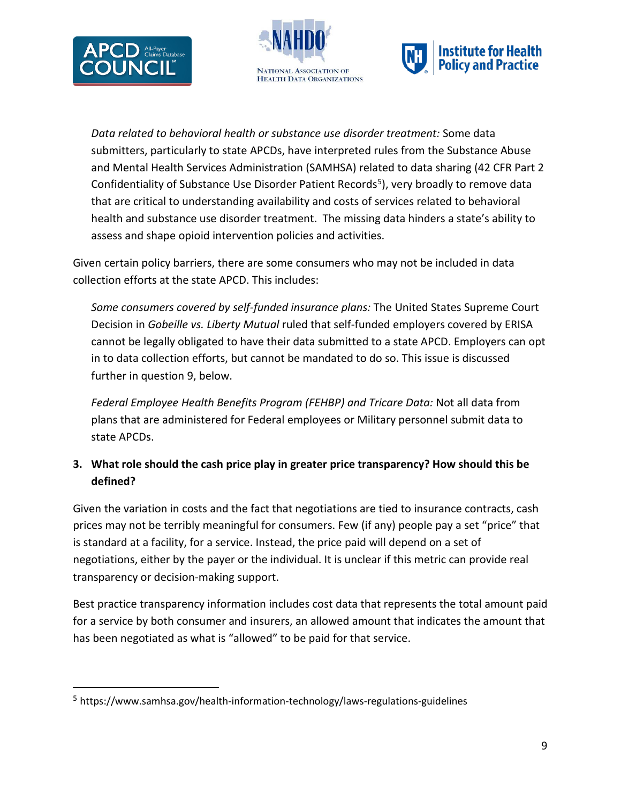





*Data related to behavioral health or substance use disorder treatment:* Some data submitters, particularly to state APCDs, have interpreted rules from the Substance Abuse and Mental Health Services Administration (SAMHSA) related to data sharing (42 CFR Part 2 Confidentiality of Substance Use Disorder Patient Records<sup>5</sup>), very broadly to remove data that are critical to understanding availability and costs of services related to behavioral health and substance use disorder treatment. The missing data hinders a state's ability to assess and shape opioid intervention policies and activities.

Given certain policy barriers, there are some consumers who may not be included in data collection efforts at the state APCD. This includes:

*Some consumers covered by self-funded insurance plans:* The United States Supreme Court Decision in *Gobeille vs. Liberty Mutual* ruled that self-funded employers covered by ERISA cannot be legally obligated to have their data submitted to a state APCD. Employers can opt in to data collection efforts, but cannot be mandated to do so. This issue is discussed further in question 9, below.

*Federal Employee Health Benefits Program (FEHBP) and Tricare Data:* Not all data from plans that are administered for Federal employees or Military personnel submit data to state APCDs.

## **3. What role should the cash price play in greater price transparency? How should this be defined?**

Given the variation in costs and the fact that negotiations are tied to insurance contracts, cash prices may not be terribly meaningful for consumers. Few (if any) people pay a set "price" that is standard at a facility, for a service. Instead, the price paid will depend on a set of negotiations, either by the payer or the individual. It is unclear if this metric can provide real transparency or decision-making support.

Best practice transparency information includes cost data that represents the total amount paid for a service by both consumer and insurers, an allowed amount that indicates the amount that has been negotiated as what is "allowed" to be paid for that service.

<span id="page-8-0"></span> <sup>5</sup> https://www.samhsa.gov/health-information-technology/laws-regulations-guidelines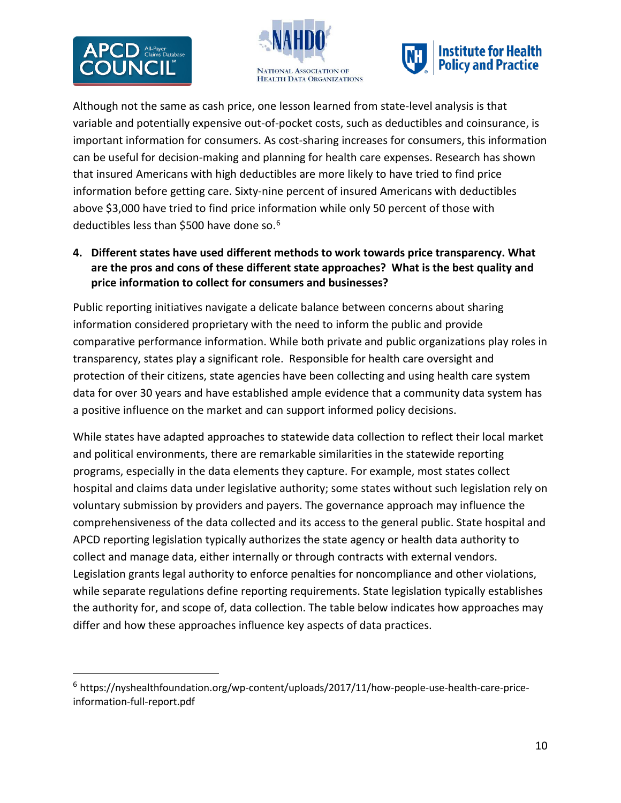$\overline{a}$ 





Although not the same as cash price, one lesson learned from state-level analysis is that variable and potentially expensive out-of-pocket costs, such as deductibles and coinsurance, is important information for consumers. As cost-sharing increases for consumers, this information can be useful for decision-making and planning for health care expenses. Research has shown that insured Americans with high deductibles are more likely to have tried to find price information before getting care. Sixty-nine percent of insured Americans with deductibles above \$3,000 have tried to find price information while only 50 percent of those with deductibles less than \$500 have done so.<sup>[6](#page-9-0)</sup>

**4. Different states have used different methods to work towards price transparency. What are the pros and cons of these different state approaches? What is the best quality and price information to collect for consumers and businesses?**

Public reporting initiatives navigate a delicate balance between concerns about sharing information considered proprietary with the need to inform the public and provide comparative performance information. While both private and public organizations play roles in transparency, states play a significant role. Responsible for health care oversight and protection of their citizens, state agencies have been collecting and using health care system data for over 30 years and have established ample evidence that a community data system has a positive influence on the market and can support informed policy decisions.

While states have adapted approaches to statewide data collection to reflect their local market and political environments, there are remarkable similarities in the statewide reporting programs, especially in the data elements they capture. For example, most states collect hospital and claims data under legislative authority; some states without such legislation rely on voluntary submission by providers and payers. The governance approach may influence the comprehensiveness of the data collected and its access to the general public. State hospital and APCD reporting legislation typically authorizes the state agency or health data authority to collect and manage data, either internally or through contracts with external vendors. Legislation grants legal authority to enforce penalties for noncompliance and other violations, while separate regulations define reporting requirements. State legislation typically establishes the authority for, and scope of, data collection. The table below indicates how approaches may differ and how these approaches influence key aspects of data practices.

<span id="page-9-0"></span> $6$  https://nyshealthfoundation.org/wp-content/uploads/2017/11/how-people-use-health-care-priceinformation-full-report.pdf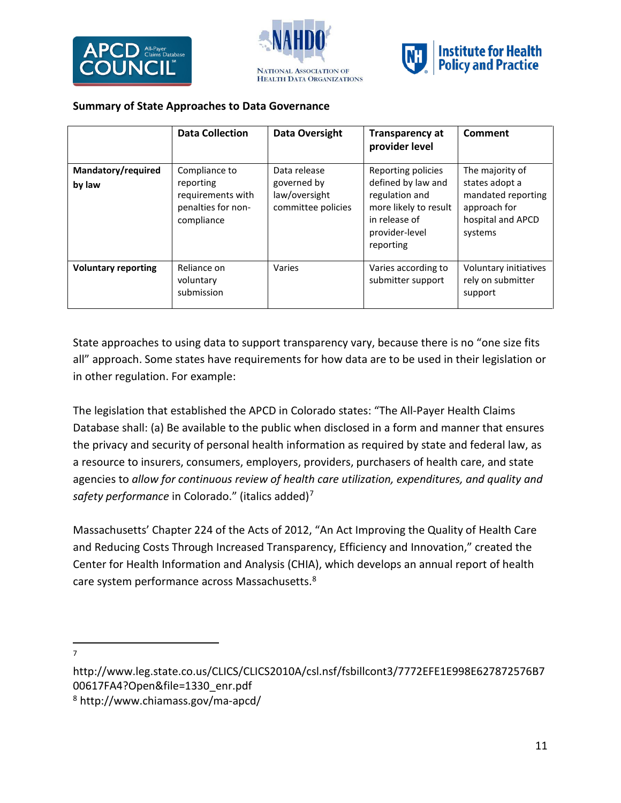





### **Summary of State Approaches to Data Governance**

|                              | <b>Data Collection</b>                                                              | Data Oversight                                                     | <b>Transparency at</b><br>provider level                                                                                            | Comment                                                                                                 |
|------------------------------|-------------------------------------------------------------------------------------|--------------------------------------------------------------------|-------------------------------------------------------------------------------------------------------------------------------------|---------------------------------------------------------------------------------------------------------|
| Mandatory/required<br>by law | Compliance to<br>reporting<br>requirements with<br>penalties for non-<br>compliance | Data release<br>governed by<br>law/oversight<br>committee policies | Reporting policies<br>defined by law and<br>regulation and<br>more likely to result<br>in release of<br>provider-level<br>reporting | The majority of<br>states adopt a<br>mandated reporting<br>approach for<br>hospital and APCD<br>systems |
| <b>Voluntary reporting</b>   | Reliance on<br>voluntary<br>submission                                              | Varies                                                             | Varies according to<br>submitter support                                                                                            | Voluntary initiatives<br>rely on submitter<br>support                                                   |

State approaches to using data to support transparency vary, because there is no "one size fits all" approach. Some states have requirements for how data are to be used in their legislation or in other regulation. For example:

The legislation that established the APCD in Colorado states: "The All-Payer Health Claims Database shall: (a) Be available to the public when disclosed in a form and manner that ensures the privacy and security of personal health information as required by state and federal law, as a resource to insurers, consumers, employers, providers, purchasers of health care, and state agencies to *allow for continuous review of health care utilization, expenditures, and quality and safety performance* in Colorado." (italics added)[7](#page-10-0)

Massachusetts' Chapter 224 of the Acts of 2012, "An Act Improving the Quality of Health Care and Reducing Costs Through Increased Transparency, Efficiency and Innovation," created the Center for Health Information and Analysis (CHIA), which develops an annual report of health care system performance across Massachusetts.<sup>[8](#page-10-1)</sup>

—<br>7  $\overline{7}$ 

<span id="page-10-0"></span>http://www.leg.state.co.us/CLICS/CLICS2010A/csl.nsf/fsbillcont3/7772EFE1E998E627872576B7 00617FA4?Open&file=1330\_enr.pdf

<span id="page-10-1"></span><sup>8</sup> http://www.chiamass.gov/ma-apcd/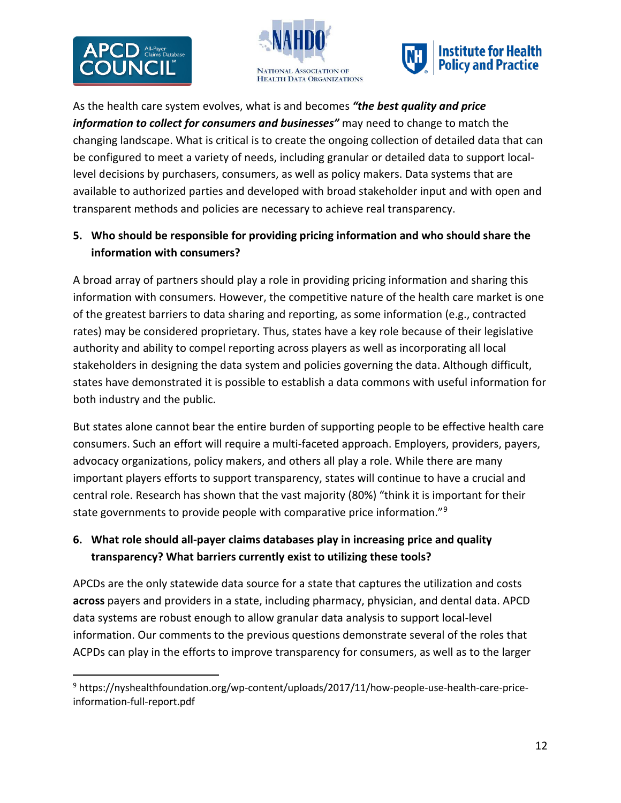$\overline{a}$ 





As the health care system evolves, what is and becomes *"the best quality and price information to collect for consumers and businesses"* may need to change to match the changing landscape. What is critical is to create the ongoing collection of detailed data that can be configured to meet a variety of needs, including granular or detailed data to support locallevel decisions by purchasers, consumers, as well as policy makers. Data systems that are available to authorized parties and developed with broad stakeholder input and with open and transparent methods and policies are necessary to achieve real transparency.

## **5. Who should be responsible for providing pricing information and who should share the information with consumers?**

A broad array of partners should play a role in providing pricing information and sharing this information with consumers. However, the competitive nature of the health care market is one of the greatest barriers to data sharing and reporting, as some information (e.g., contracted rates) may be considered proprietary. Thus, states have a key role because of their legislative authority and ability to compel reporting across players as well as incorporating all local stakeholders in designing the data system and policies governing the data. Although difficult, states have demonstrated it is possible to establish a data commons with useful information for both industry and the public.

But states alone cannot bear the entire burden of supporting people to be effective health care consumers. Such an effort will require a multi-faceted approach. Employers, providers, payers, advocacy organizations, policy makers, and others all play a role. While there are many important players efforts to support transparency, states will continue to have a crucial and central role. Research has shown that the vast majority (80%) "think it is important for their state governments to provide people with comparative price information."[9](#page-11-0)

# **6. What role should all-payer claims databases play in increasing price and quality transparency? What barriers currently exist to utilizing these tools?**

APCDs are the only statewide data source for a state that captures the utilization and costs **across** payers and providers in a state, including pharmacy, physician, and dental data. APCD data systems are robust enough to allow granular data analysis to support local-level information. Our comments to the previous questions demonstrate several of the roles that ACPDs can play in the efforts to improve transparency for consumers, as well as to the larger

<span id="page-11-0"></span> <sup>9</sup> https://nyshealthfoundation.org/wp-content/uploads/2017/11/how-people-use-health-care-priceinformation-full-report.pdf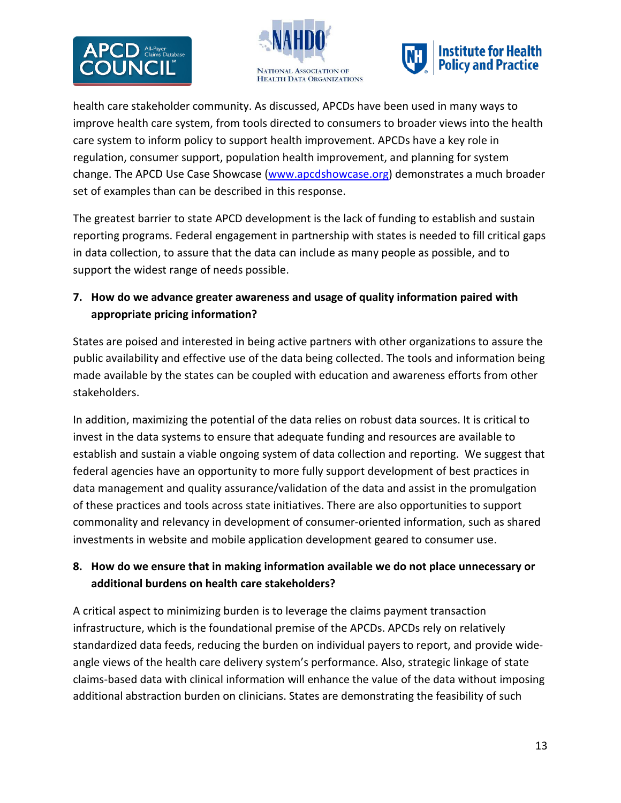





health care stakeholder community. As discussed, APCDs have been used in many ways to improve health care system, from tools directed to consumers to broader views into the health care system to inform policy to support health improvement. APCDs have a key role in regulation, consumer support, population health improvement, and planning for system change. The APCD Use Case Showcase [\(www.apcdshowcase.org\)](http://www.apcdshowcase.org/) demonstrates a much broader set of examples than can be described in this response.

The greatest barrier to state APCD development is the lack of funding to establish and sustain reporting programs. Federal engagement in partnership with states is needed to fill critical gaps in data collection, to assure that the data can include as many people as possible, and to support the widest range of needs possible.

**7. How do we advance greater awareness and usage of quality information paired with appropriate pricing information?**

States are poised and interested in being active partners with other organizations to assure the public availability and effective use of the data being collected. The tools and information being made available by the states can be coupled with education and awareness efforts from other stakeholders.

In addition, maximizing the potential of the data relies on robust data sources. It is critical to invest in the data systems to ensure that adequate funding and resources are available to establish and sustain a viable ongoing system of data collection and reporting. We suggest that federal agencies have an opportunity to more fully support development of best practices in data management and quality assurance/validation of the data and assist in the promulgation of these practices and tools across state initiatives. There are also opportunities to support commonality and relevancy in development of consumer-oriented information, such as shared investments in website and mobile application development geared to consumer use.

## **8. How do we ensure that in making information available we do not place unnecessary or additional burdens on health care stakeholders?**

A critical aspect to minimizing burden is to leverage the claims payment transaction infrastructure, which is the foundational premise of the APCDs. APCDs rely on relatively standardized data feeds, reducing the burden on individual payers to report, and provide wideangle views of the health care delivery system's performance. Also, strategic linkage of state claims-based data with clinical information will enhance the value of the data without imposing additional abstraction burden on clinicians. States are demonstrating the feasibility of such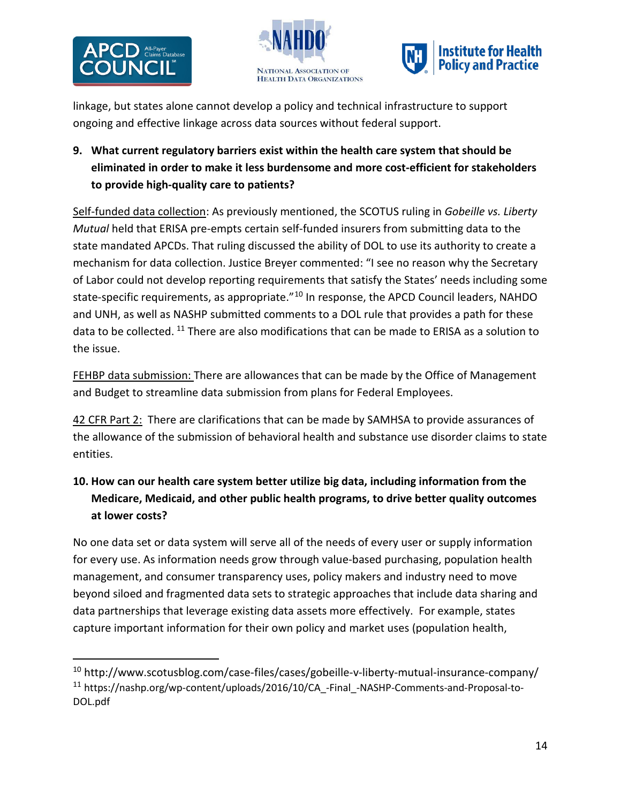





linkage, but states alone cannot develop a policy and technical infrastructure to support ongoing and effective linkage across data sources without federal support.

# **9. What current regulatory barriers exist within the health care system that should be eliminated in order to make it less burdensome and more cost-efficient for stakeholders to provide high-quality care to patients?**

Self-funded data collection: As previously mentioned, the SCOTUS ruling in *Gobeille vs. Liberty Mutual* held that ERISA pre-empts certain self-funded insurers from submitting data to the state mandated APCDs. That ruling discussed the ability of DOL to use its authority to create a mechanism for data collection. Justice Breyer commented: "I see no reason why the Secretary of Labor could not develop reporting requirements that satisfy the States' needs including some state-specific requirements, as appropriate.<sup>"[10](#page-13-0)</sup> In response, the APCD Council leaders, NAHDO and UNH, as well as NASHP submitted comments to a DOL rule that provides a path for these data to be collected. <sup>[11](#page-13-1)</sup> There are also modifications that can be made to ERISA as a solution to the issue.

FEHBP data submission: There are allowances that can be made by the Office of Management and Budget to streamline data submission from plans for Federal Employees.

42 CFR Part 2: There are clarifications that can be made by SAMHSA to provide assurances of the allowance of the submission of behavioral health and substance use disorder claims to state entities.

# **10. How can our health care system better utilize big data, including information from the Medicare, Medicaid, and other public health programs, to drive better quality outcomes at lower costs?**

No one data set or data system will serve all of the needs of every user or supply information for every use. As information needs grow through value-based purchasing, population health management, and consumer transparency uses, policy makers and industry need to move beyond siloed and fragmented data sets to strategic approaches that include data sharing and data partnerships that leverage existing data assets more effectively. For example, states capture important information for their own policy and market uses (population health,

<span id="page-13-1"></span><span id="page-13-0"></span><sup>&</sup>lt;sup>10</sup> http://www.scotusblog.com/case-files/cases/gobeille-v-liberty-mutual-insurance-company/ <sup>11</sup> https://nashp.org/wp-content/uploads/2016/10/CA\_-Final\_-NASHP-Comments-and-Proposal-to-DOL.pdf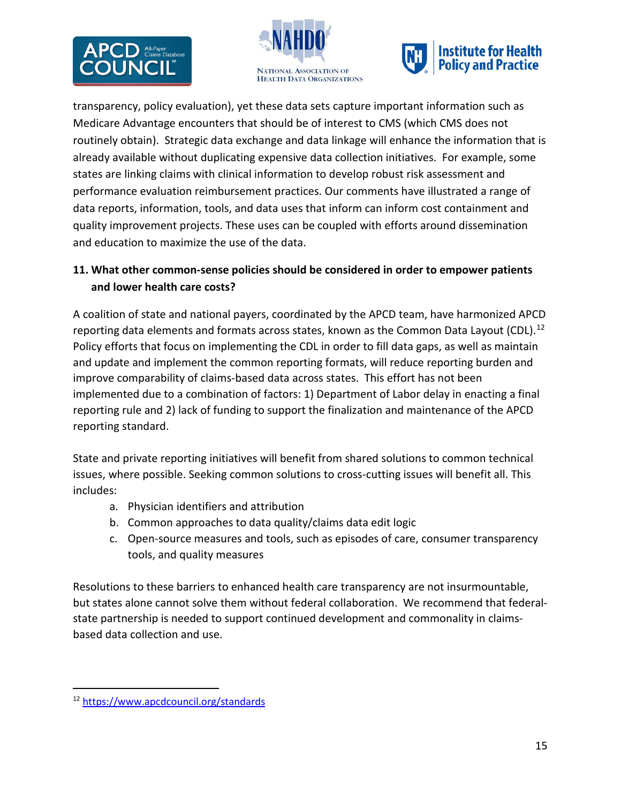





transparency, policy evaluation), yet these data sets capture important information such as Medicare Advantage encounters that should be of interest to CMS (which CMS does not routinely obtain). Strategic data exchange and data linkage will enhance the information that is already available without duplicating expensive data collection initiatives. For example, some states are linking claims with clinical information to develop robust risk assessment and performance evaluation reimbursement practices. Our comments have illustrated a range of data reports, information, tools, and data uses that inform can inform cost containment and quality improvement projects. These uses can be coupled with efforts around dissemination and education to maximize the use of the data.

## **11. What other common-sense policies should be considered in order to empower patients and lower health care costs?**

A coalition of state and national payers, coordinated by the APCD team, have harmonized APCD reporting data elements and formats across states, known as the Common Data Layout (CDL).<sup>[12](#page-14-0)</sup> Policy efforts that focus on implementing the CDL in order to fill data gaps, as well as maintain and update and implement the common reporting formats, will reduce reporting burden and improve comparability of claims-based data across states. This effort has not been implemented due to a combination of factors: 1) Department of Labor delay in enacting a final reporting rule and 2) lack of funding to support the finalization and maintenance of the APCD reporting standard.

State and private reporting initiatives will benefit from shared solutions to common technical issues, where possible. Seeking common solutions to cross-cutting issues will benefit all. This includes:

- a. Physician identifiers and attribution
- b. Common approaches to data quality/claims data edit logic
- c. Open-source measures and tools, such as episodes of care, consumer transparency tools, and quality measures

Resolutions to these barriers to enhanced health care transparency are not insurmountable, but states alone cannot solve them without federal collaboration. We recommend that federalstate partnership is needed to support continued development and commonality in claimsbased data collection and use.

<span id="page-14-0"></span> <sup>12</sup> <https://www.apcdcouncil.org/standards>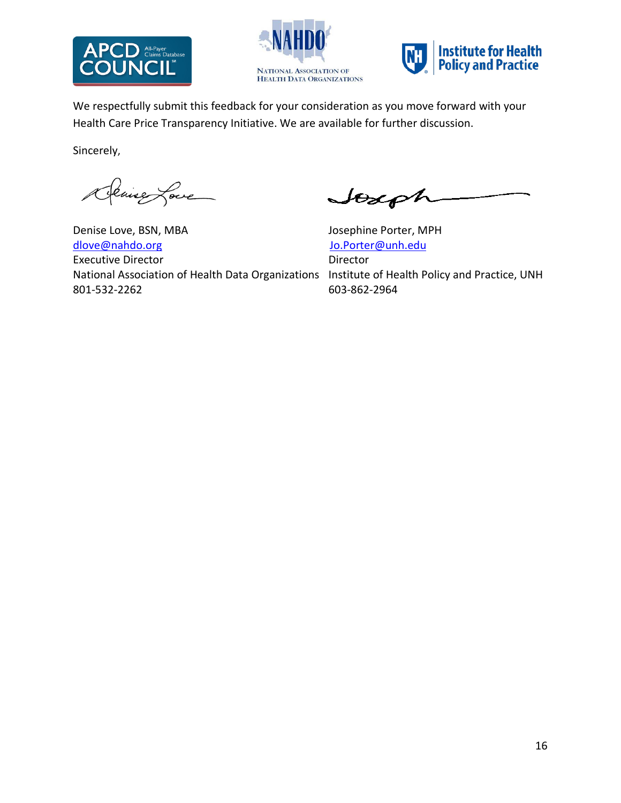





We respectfully submit this feedback for your consideration as you move forward with your Health Care Price Transparency Initiative. We are available for further discussion.

Sincerely,

Denise Love

Denise Love, BSN, MBA Josephine Porter, MPH [dlove@nahdo.org](mailto:dlove@nahdo.org) downloadship and downloadship and downloadship and downloadship and downloadship and downloadship and downloadship and downloadship and downloadship and downloadship and downloadship and downloadship and do Executive Director **Director** Director National Association of Health Data Organizations Institute of Health Policy and Practice, UNH 801-532-2262 603-862-2964

Joseph